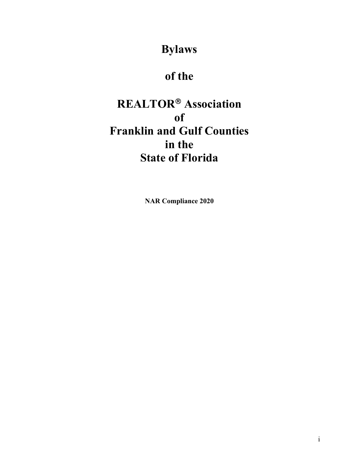**Bylaws** 

# **of the**

# **REALTOR Association of Franklin and Gulf Counties in the State of Florida**

**NAR Compliance 2020**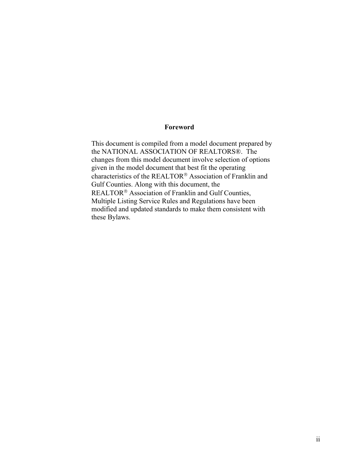#### **Foreword**

This document is compiled from a model document prepared by the NATIONAL ASSOCIATION OF REALTORS®. The changes from this model document involve selection of options given in the model document that best fit the operating characteristics of the REALTOR® Association of Franklin and Gulf Counties. Along with this document, the REALTOR<sup>®</sup> Association of Franklin and Gulf Counties, Multiple Listing Service Rules and Regulations have been modified and updated standards to make them consistent with these Bylaws.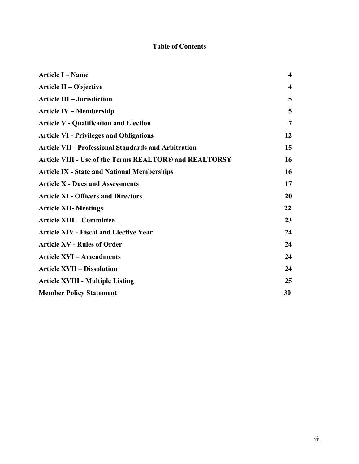## **Table of Contents**

| <b>Article I - Name</b>                                     | $\overline{\mathbf{4}}$ |
|-------------------------------------------------------------|-------------------------|
| Article II – Objective                                      | $\boldsymbol{4}$        |
| <b>Article III - Jurisdiction</b>                           | 5                       |
| <b>Article IV – Membership</b>                              | 5                       |
| <b>Article V - Qualification and Election</b>               | 7                       |
| <b>Article VI - Privileges and Obligations</b>              | 12                      |
| <b>Article VII - Professional Standards and Arbitration</b> | 15                      |
| Article VIII - Use of the Terms REALTOR® and REALTORS®      | 16                      |
| <b>Article IX - State and National Memberships</b>          | 16                      |
| <b>Article X - Dues and Assessments</b>                     | 17                      |
| <b>Article XI - Officers and Directors</b>                  | 20                      |
| <b>Article XII- Meetings</b>                                | 22                      |
| <b>Article XIII - Committee</b>                             | 23                      |
| <b>Article XIV - Fiscal and Elective Year</b>               | 24                      |
| <b>Article XV - Rules of Order</b>                          | 24                      |
| <b>Article XVI - Amendments</b>                             | 24                      |
| <b>Article XVII - Dissolution</b>                           | 24                      |
| <b>Article XVIII - Multiple Listing</b>                     | 25                      |
| <b>Member Policy Statement</b>                              | 30                      |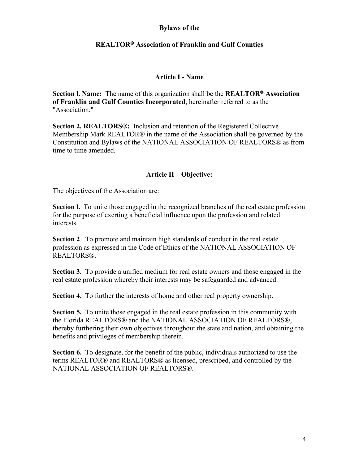### **Bylaws of the**

## **REALTOR Association of Franklin and Gulf Counties**

#### **Article I - Name**

**Section l. Name:** The name of this organization shall be the **REALTOR Association of Franklin and Gulf Counties Incorporated**, hereinafter referred to as the "Association."

**Section 2. REALTORS®:** Inclusion and retention of the Registered Collective Membership Mark REALTOR® in the name of the Association shall be governed by the Constitution and Bylaws of the NATIONAL ASSOCIATION OF REALTORS® as from time to time amended.

#### **Article II – Objective:**

The objectives of the Association are:

**Section I.** To unite those engaged in the recognized branches of the real estate profession for the purpose of exerting a beneficial influence upon the profession and related interests.

**Section 2**. To promote and maintain high standards of conduct in the real estate profession as expressed in the Code of Ethics of the NATIONAL ASSOCIATION OF REALTORS®.

**Section 3.** To provide a unified medium for real estate owners and those engaged in the real estate profession whereby their interests may be safeguarded and advanced.

**Section 4.** To further the interests of home and other real property ownership.

**Section 5.** To unite those engaged in the real estate profession in this community with the Florida REALTORS® and the NATIONAL ASSOCIATION OF REALTORS®, thereby furthering their own objectives throughout the state and nation, and obtaining the benefits and privileges of membership therein.

**Section 6.** To designate, for the benefit of the public, individuals authorized to use the terms REALTOR® and REALTORS® as licensed, prescribed, and controlled by the NATIONAL ASSOCIATION OF REALTORS®.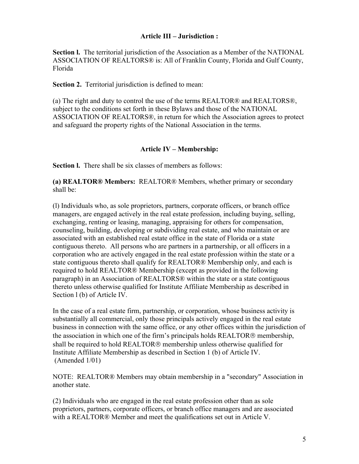## **Article III – Jurisdiction :**

**Section l.** The territorial jurisdiction of the Association as a Member of the NATIONAL ASSOCIATION OF REALTORS® is: All of Franklin County, Florida and Gulf County, Florida

**Section 2.** Territorial jurisdiction is defined to mean:

(a) The right and duty to control the use of the terms REALTOR® and REALTORS®, subject to the conditions set forth in these Bylaws and those of the NATIONAL ASSOCIATION OF REALTORS®, in return for which the Association agrees to protect and safeguard the property rights of the National Association in the terms.

#### **Article IV – Membership:**

**Section I.** There shall be six classes of members as follows:

**(a) REALTOR® Members:** REALTOR® Members, whether primary or secondary shall be:

(l) Individuals who, as sole proprietors, partners, corporate officers, or branch office managers, are engaged actively in the real estate profession, including buying, selling, exchanging, renting or leasing, managing, appraising for others for compensation, counseling, building, developing or subdividing real estate, and who maintain or are associated with an established real estate office in the state of Florida or a state contiguous thereto. All persons who are partners in a partnership, or all officers in a corporation who are actively engaged in the real estate profession within the state or a state contiguous thereto shall qualify for REALTOR® Membership only, and each is required to hold REALTOR® Membership (except as provided in the following paragraph) in an Association of REALTORS® within the state or a state contiguous thereto unless otherwise qualified for Institute Affiliate Membership as described in Section l (b) of Article IV.

In the case of a real estate firm, partnership, or corporation, whose business activity is substantially all commercial, only those principals actively engaged in the real estate business in connection with the same office, or any other offices within the jurisdiction of the association in which one of the firm's principals holds REALTOR $\circledR$  membership, shall be required to hold REALTOR<sup>®</sup> membership unless otherwise qualified for Institute Affiliate Membership as described in Section 1 (b) of Article IV. (Amended 1/01)

NOTE: REALTOR® Members may obtain membership in a "secondary" Association in another state.

(2) Individuals who are engaged in the real estate profession other than as sole proprietors, partners, corporate officers, or branch office managers and are associated with a REALTOR® Member and meet the qualifications set out in Article V.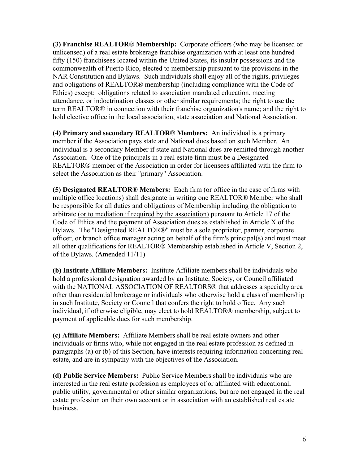**(3) Franchise REALTOR® Membership:** Corporate officers (who may be licensed or unlicensed) of a real estate brokerage franchise organization with at least one hundred fifty (150) franchisees located within the United States, its insular possessions and the commonwealth of Puerto Rico, elected to membership pursuant to the provisions in the NAR Constitution and Bylaws. Such individuals shall enjoy all of the rights, privileges and obligations of REALTOR® membership (including compliance with the Code of Ethics) except: obligations related to association mandated education, meeting attendance, or indoctrination classes or other similar requirements; the right to use the term REALTOR® in connection with their franchise organization's name; and the right to hold elective office in the local association, state association and National Association.

**(4) Primary and secondary REALTOR® Members:** An individual is a primary member if the Association pays state and National dues based on such Member. An individual is a secondary Member if state and National dues are remitted through another Association. One of the principals in a real estate firm must be a Designated REALTOR® member of the Association in order for licensees affiliated with the firm to select the Association as their "primary" Association.

**(5) Designated REALTOR® Members:** Each firm (or office in the case of firms with multiple office locations) shall designate in writing one REALTOR® Member who shall be responsible for all duties and obligations of Membership including the obligation to arbitrate (or to mediation if required by the association) pursuant to Article 17 of the Code of Ethics and the payment of Association dues as established in Article X of the Bylaws. The "Designated REALTOR®" must be a sole proprietor, partner, corporate officer, or branch office manager acting on behalf of the firm's principal(s) and must meet all other qualifications for REALTOR® Membership established in Article V, Section 2, of the Bylaws. (Amended 11/11)

 **(b) Institute Affiliate Members:** Institute Affiliate members shall be individuals who hold a professional designation awarded by an Institute, Society, or Council affiliated with the NATIONAL ASSOCIATION OF REALTORS® that addresses a specialty area other than residential brokerage or individuals who otherwise hold a class of membership in such Institute, Society or Council that confers the right to hold office. Any such individual, if otherwise eligible, may elect to hold REALTOR® membership, subject to payment of applicable dues for such membership.

**(c) Affiliate Members:** Affiliate Members shall be real estate owners and other individuals or firms who, while not engaged in the real estate profession as defined in paragraphs (a) or (b) of this Section, have interests requiring information concerning real estate, and are in sympathy with the objectives of the Association.

**(d) Public Service Members:** Public Service Members shall be individuals who are interested in the real estate profession as employees of or affiliated with educational, public utility, governmental or other similar organizations, but are not engaged in the real estate profession on their own account or in association with an established real estate business.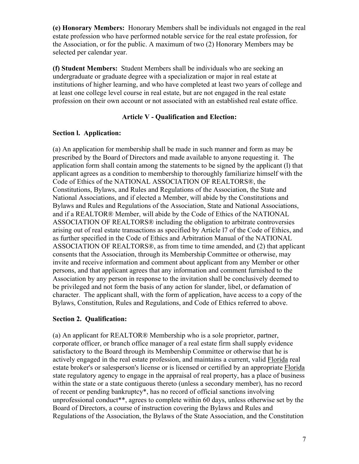**(e) Honorary Members:** Honorary Members shall be individuals not engaged in the real estate profession who have performed notable service for the real estate profession, for the Association, or for the public. A maximum of two (2) Honorary Members may be selected per calendar year.

**(f) Student Members:** Student Members shall be individuals who are seeking an undergraduate or graduate degree with a specialization or major in real estate at institutions of higher learning, and who have completed at least two years of college and at least one college level course in real estate, but are not engaged in the real estate profession on their own account or not associated with an established real estate office.

## **Article V - Qualification and Election:**

## **Section l. Application:**

(a) An application for membership shall be made in such manner and form as may be prescribed by the Board of Directors and made available to anyone requesting it. The application form shall contain among the statements to be signed by the applicant (l) that applicant agrees as a condition to membership to thoroughly familiarize himself with the Code of Ethics of the NATIONAL ASSOCIATION OF REALTORS®, the Constitutions, Bylaws, and Rules and Regulations of the Association, the State and National Associations, and if elected a Member, will abide by the Constitutions and Bylaws and Rules and Regulations of the Association, State and National Associations, and if a REALTOR® Member, will abide by the Code of Ethics of the NATIONAL ASSOCIATION OF REALTORS® including the obligation to arbitrate controversies arising out of real estate transactions as specified by Article l7 of the Code of Ethics, and as further specified in the Code of Ethics and Arbitration Manual of the NATIONAL ASSOCIATION OF REALTORS®, as from time to time amended, and (2) that applicant consents that the Association, through its Membership Committee or otherwise, may invite and receive information and comment about applicant from any Member or other persons, and that applicant agrees that any information and comment furnished to the Association by any person in response to the invitation shall be conclusively deemed to be privileged and not form the basis of any action for slander, libel, or defamation of character. The applicant shall, with the form of application, have access to a copy of the Bylaws, Constitution, Rules and Regulations, and Code of Ethics referred to above.

## **Section 2. Qualification:**

(a) An applicant for REALTOR® Membership who is a sole proprietor, partner, corporate officer, or branch office manager of a real estate firm shall supply evidence satisfactory to the Board through its Membership Committee or otherwise that he is actively engaged in the real estate profession, and maintains a current, valid Florida real estate broker's or salesperson's license or is licensed or certified by an appropriate Florida state regulatory agency to engage in the appraisal of real property, has a place of business within the state or a state contiguous thereto (unless a secondary member), has no record of recent or pending bankruptcy\*, has no record of official sanctions involving unprofessional conduct\*\*, agrees to complete within 60 days, unless otherwise set by the Board of Directors, a course of instruction covering the Bylaws and Rules and Regulations of the Association, the Bylaws of the State Association, and the Constitution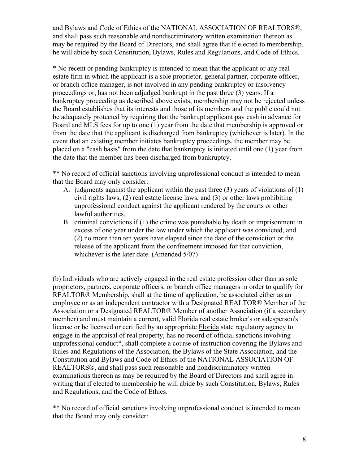and Bylaws and Code of Ethics of the NATIONAL ASSOCIATION OF REALTORS®, and shall pass such reasonable and nondiscriminatory written examination thereon as may be required by the Board of Directors, and shall agree that if elected to membership, he will abide by such Constitution, Bylaws, Rules and Regulations, and Code of Ethics.

\* No recent or pending bankruptcy is intended to mean that the applicant or any real estate firm in which the applicant is a sole proprietor, general partner, corporate officer, or branch office manager, is not involved in any pending bankruptcy or insolvency proceedings or, has not been adjudged bankrupt in the past three (3) years. If a bankruptcy proceeding as described above exists, membership may not be rejected unless the Board establishes that its interests and those of its members and the public could not be adequately protected by requiring that the bankrupt applicant pay cash in advance for Board and MLS fees for up to one (1) year from the date that membership is approved or from the date that the applicant is discharged from bankruptcy (whichever is later). In the event that an existing member initiates bankruptcy proceedings, the member may be placed on a "cash basis" from the date that bankruptcy is initiated until one (1) year from the date that the member has been discharged from bankruptcy.

\*\* No record of official sanctions involving unprofessional conduct is intended to mean that the Board may only consider:

- A. judgments against the applicant within the past three (3) years of violations of (1) civil rights laws, (2) real estate license laws, and (3) or other laws prohibiting unprofessional conduct against the applicant rendered by the courts or other lawful authorities.
- B. criminal convictions if (1) the crime was punishable by death or imprisonment in excess of one year under the law under which the applicant was convicted, and (2) no more than ten years have elapsed since the date of the conviction or the release of the applicant from the confinement imposed for that conviction, whichever is the later date. (Amended 5/07)

(b) Individuals who are actively engaged in the real estate profession other than as sole proprietors, partners, corporate officers, or branch office managers in order to qualify for REALTOR® Membership, shall at the time of application, be associated either as an employee or as an independent contractor with a Designated REALTOR® Member of the Association or a Designated REALTOR® Member of another Association (if a secondary member) and must maintain a current, valid Florida real estate broker's or salesperson's license or be licensed or certified by an appropriate Florida state regulatory agency to engage in the appraisal of real property, has no record of official sanctions involving unprofessional conduct\*, shall complete a course of instruction covering the Bylaws and Rules and Regulations of the Association, the Bylaws of the State Association, and the Constitution and Bylaws and Code of Ethics of the NATIONAL ASSOCIATION OF REALTORS®, and shall pass such reasonable and nondiscriminatory written examinations thereon as may be required by the Board of Directors and shall agree in writing that if elected to membership he will abide by such Constitution, Bylaws, Rules and Regulations, and the Code of Ethics.

\*\* No record of official sanctions involving unprofessional conduct is intended to mean that the Board may only consider: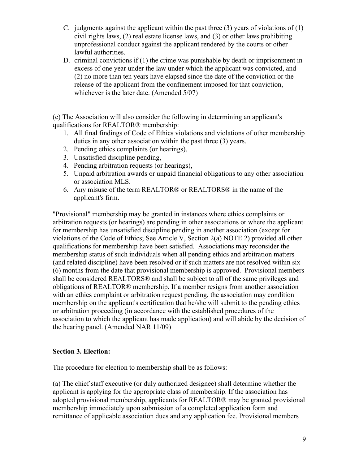- C. judgments against the applicant within the past three  $(3)$  years of violations of  $(1)$ civil rights laws, (2) real estate license laws, and (3) or other laws prohibiting unprofessional conduct against the applicant rendered by the courts or other lawful authorities.
- D. criminal convictions if (1) the crime was punishable by death or imprisonment in excess of one year under the law under which the applicant was convicted, and (2) no more than ten years have elapsed since the date of the conviction or the release of the applicant from the confinement imposed for that conviction, whichever is the later date. (Amended 5/07)

(c) The Association will also consider the following in determining an applicant's qualifications for REALTOR® membership:

- 1. All final findings of Code of Ethics violations and violations of other membership duties in any other association within the past three (3) years.
- 2. Pending ethics complaints (or hearings),
- 3. Unsatisfied discipline pending,
- 4. Pending arbitration requests (or hearings),
- 5. Unpaid arbitration awards or unpaid financial obligations to any other association or association MLS.
- 6. Any misuse of the term REALTOR® or REALTORS® in the name of the applicant's firm.

"Provisional" membership may be granted in instances where ethics complaints or arbitration requests (or hearings) are pending in other associations or where the applicant for membership has unsatisfied discipline pending in another association (except for violations of the Code of Ethics; See Article V, Section 2(a) NOTE 2) provided all other qualifications for membership have been satisfied. Associations may reconsider the membership status of such individuals when all pending ethics and arbitration matters (and related discipline) have been resolved or if such matters are not resolved within six (6) months from the date that provisional membership is approved. Provisional members shall be considered REALTORS® and shall be subject to all of the same privileges and obligations of REALTOR® membership. If a member resigns from another association with an ethics complaint or arbitration request pending, the association may condition membership on the applicant's certification that he/she will submit to the pending ethics or arbitration proceeding (in accordance with the established procedures of the association to which the applicant has made application) and will abide by the decision of the hearing panel. (Amended NAR 11/09)

## **Section 3. Election:**

The procedure for election to membership shall be as follows:

(a) The chief staff executive (or duly authorized designee) shall determine whether the applicant is applying for the appropriate class of membership. If the association has adopted provisional membership, applicants for REALTOR® may be granted provisional membership immediately upon submission of a completed application form and remittance of applicable association dues and any application fee. Provisional members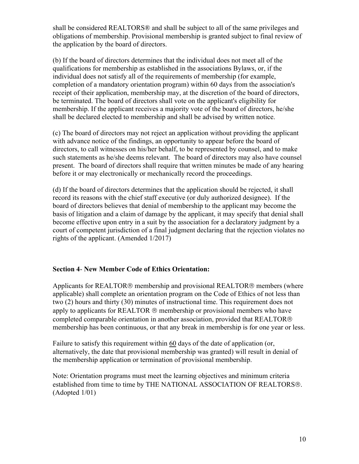shall be considered REALTORS® and shall be subject to all of the same privileges and obligations of membership. Provisional membership is granted subject to final review of the application by the board of directors.

(b) If the board of directors determines that the individual does not meet all of the qualifications for membership as established in the associations Bylaws, or, if the individual does not satisfy all of the requirements of membership (for example, completion of a mandatory orientation program) within 60 days from the association's receipt of their application, membership may, at the discretion of the board of directors, be terminated. The board of directors shall vote on the applicant's eligibility for membership. If the applicant receives a majority vote of the board of directors, he/she shall be declared elected to membership and shall be advised by written notice.

(c) The board of directors may not reject an application without providing the applicant with advance notice of the findings, an opportunity to appear before the board of directors, to call witnesses on his/her behalf, to be represented by counsel, and to make such statements as he/she deems relevant. The board of directors may also have counsel present. The board of directors shall require that written minutes be made of any hearing before it or may electronically or mechanically record the proceedings.

(d) If the board of directors determines that the application should be rejected, it shall record its reasons with the chief staff executive (or duly authorized designee). If the board of directors believes that denial of membership to the applicant may become the basis of litigation and a claim of damage by the applicant, it may specify that denial shall become effective upon entry in a suit by the association for a declaratory judgment by a court of competent jurisdiction of a final judgment declaring that the rejection violates no rights of the applicant. (Amended 1/2017)

## **Section 4**- **New Member Code of Ethics Orientation:**

Applicants for REALTOR<sup>®</sup> membership and provisional REALTOR<sup>®</sup> members (where applicable) shall complete an orientation program on the Code of Ethics of not less than two (2) hours and thirty (30) minutes of instructional time. This requirement does not apply to applicants for REALTOR  $\circledR$  membership or provisional members who have completed comparable orientation in another association, provided that REALTOR membership has been continuous, or that any break in membership is for one year or less.

Failure to satisfy this requirement within 60 days of the date of application (or, alternatively, the date that provisional membership was granted) will result in denial of the membership application or termination of provisional membership.

Note: Orientation programs must meet the learning objectives and minimum criteria established from time to time by THE NATIONAL ASSOCIATION OF REALTORS®. (Adopted 1/01)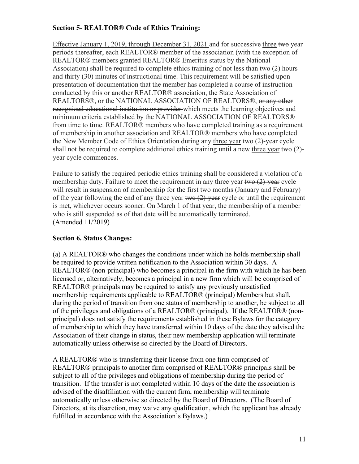## **Section 5**- **REALTOR® Code of Ethics Training:**

Effective January 1, 2019, through December 31, 2021 and for successive three two year periods thereafter, each REALTOR® member of the association (with the exception of REALTOR® members granted REALTOR® Emeritus status by the National Association) shall be required to complete ethics training of not less than two (2) hours and thirty (30) minutes of instructional time. This requirement will be satisfied upon presentation of documentation that the member has completed a course of instruction conducted by this or another REALTOR® association, the State Association of REALTORS®, or the NATIONAL ASSOCIATION OF REALTORS®, or any other recognized educational institution or provider which meets the learning objectives and minimum criteria established by the NATIONAL ASSOCIATION OF REALTORS® from time to time. REALTOR® members who have completed training as a requirement of membership in another association and REALTOR® members who have completed the New Member Code of Ethics Orientation during any three year two  $(2)$ -year cycle shall not be required to complete additional ethics training until a new three year two  $(2)$ year cycle commences.

 who is still suspended as of that date will be automatically terminated. Failure to satisfy the required periodic ethics training shall be considered a violation of a membership duty. Failure to meet the requirement in any three year two (2)-year cycle will result in suspension of membership for the first two months (January and February) of the year following the end of any three year  $t$  two  $(2)$ -year cycle or until the requirement is met, whichever occurs sooner. On March 1 of that year, the membership of a member (Amended 11/2019)

## **Section 6. Status Changes:**

(a) A REALTOR® who changes the conditions under which he holds membership shall be required to provide written notification to the Association within 30 days. A REALTOR® (non-principal) who becomes a principal in the firm with which he has been licensed or, alternatively, becomes a principal in a new firm which will be comprised of REALTOR® principals may be required to satisfy any previously unsatisfied membership requirements applicable to REALTOR® (principal) Members but shall, during the period of transition from one status of membership to another, be subject to all of the privileges and obligations of a REALTOR® (principal). If the REALTOR® (nonprincipal) does not satisfy the requirements established in these Bylaws for the category of membership to which they have transferred within 10 days of the date they advised the Association of their change in status, their new membership application will terminate automatically unless otherwise so directed by the Board of Directors.

A REALTOR® who is transferring their license from one firm comprised of REALTOR® principals to another firm comprised of REALTOR® principals shall be subject to all of the privileges and obligations of membership during the period of transition. If the transfer is not completed within 10 days of the date the association is advised of the disaffiliation with the current firm, membership will terminate automatically unless otherwise so directed by the Board of Directors. (The Board of Directors, at its discretion, may waive any qualification, which the applicant has already fulfilled in accordance with the Association's Bylaws.)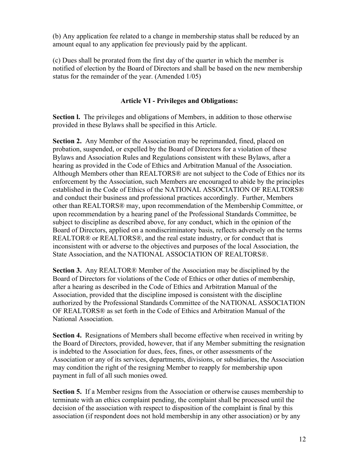(b) Any application fee related to a change in membership status shall be reduced by an amount equal to any application fee previously paid by the applicant.

(c) Dues shall be prorated from the first day of the quarter in which the member is notified of election by the Board of Directors and shall be based on the new membership status for the remainder of the year. (Amended 1/05)

## **Article VI - Privileges and Obligations:**

**Section l.** The privileges and obligations of Members, in addition to those otherwise provided in these Bylaws shall be specified in this Article.

**Section 2.** Any Member of the Association may be reprimanded, fined, placed on probation, suspended, or expelled by the Board of Directors for a violation of these Bylaws and Association Rules and Regulations consistent with these Bylaws, after a hearing as provided in the Code of Ethics and Arbitration Manual of the Association. Although Members other than REALTORS® are not subject to the Code of Ethics nor its enforcement by the Association, such Members are encouraged to abide by the principles established in the Code of Ethics of the NATIONAL ASSOCIATION OF REALTORS® and conduct their business and professional practices accordingly. Further, Members other than REALTORS® may, upon recommendation of the Membership Committee, or upon recommendation by a hearing panel of the Professional Standards Committee, be subject to discipline as described above, for any conduct, which in the opinion of the Board of Directors, applied on a nondiscriminatory basis, reflects adversely on the terms REALTOR® or REALTORS®, and the real estate industry, or for conduct that is inconsistent with or adverse to the objectives and purposes of the local Association, the State Association, and the NATIONAL ASSOCIATION OF REALTORS®.

**Section 3.** Any REALTOR® Member of the Association may be disciplined by the Board of Directors for violations of the Code of Ethics or other duties of membership, after a hearing as described in the Code of Ethics and Arbitration Manual of the Association, provided that the discipline imposed is consistent with the discipline authorized by the Professional Standards Committee of the NATIONAL ASSOCIATION OF REALTORS® as set forth in the Code of Ethics and Arbitration Manual of the National Association.

 **Section 4.** Resignations of Members shall become effective when received in writing by the Board of Directors, provided, however, that if any Member submitting the resignation is indebted to the Association for dues, fees, fines, or other assessments of the Association or any of its services, departments, divisions, or subsidiaries, the Association may condition the right of the resigning Member to reapply for membership upon payment in full of all such monies owed.

**Section 5.** If a Member resigns from the Association or otherwise causes membership to terminate with an ethics complaint pending, the complaint shall be processed until the decision of the association with respect to disposition of the complaint is final by this association (if respondent does not hold membership in any other association) or by any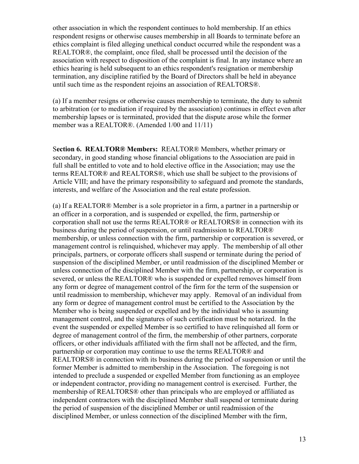other association in which the respondent continues to hold membership. If an ethics respondent resigns or otherwise causes membership in all Boards to terminate before an ethics complaint is filed alleging unethical conduct occurred while the respondent was a REALTOR®, the complaint, once filed, shall be processed until the decision of the association with respect to disposition of the complaint is final. In any instance where an ethics hearing is held subsequent to an ethics respondent's resignation or membership termination, any discipline ratified by the Board of Directors shall be held in abeyance until such time as the respondent rejoins an association of REALTORS®.

(a) If a member resigns or otherwise causes membership to terminate, the duty to submit to arbitration (or to mediation if required by the association) continues in effect even after membership lapses or is terminated, provided that the dispute arose while the former member was a REALTOR®. (Amended 1/00 and 11/11)

S**ection 6. REALTOR® Members:** REALTOR® Members, whether primary or secondary, in good standing whose financial obligations to the Association are paid in full shall be entitled to vote and to hold elective office in the Association; may use the terms REALTOR® and REALTORS®, which use shall be subject to the provisions of Article VIII; and have the primary responsibility to safeguard and promote the standards, interests, and welfare of the Association and the real estate profession.

(a) If a REALTOR® Member is a sole proprietor in a firm, a partner in a partnership or an officer in a corporation, and is suspended or expelled, the firm, partnership or corporation shall not use the terms REALTOR® or REALTORS® in connection with its business during the period of suspension, or until readmission to REALTOR® membership, or unless connection with the firm, partnership or corporation is severed, or management control is relinquished, whichever may apply. The membership of all other principals, partners, or corporate officers shall suspend or terminate during the period of suspension of the disciplined Member, or until readmission of the disciplined Member or unless connection of the disciplined Member with the firm, partnership, or corporation is severed, or unless the REALTOR® who is suspended or expelled removes himself from any form or degree of management control of the firm for the term of the suspension or until readmission to membership, whichever may apply. Removal of an individual from any form or degree of management control must be certified to the Association by the Member who is being suspended or expelled and by the individual who is assuming management control, and the signatures of such certification must be notarized. In the event the suspended or expelled Member is so certified to have relinquished all form or degree of management control of the firm, the membership of other partners, corporate officers, or other individuals affiliated with the firm shall not be affected, and the firm, partnership or corporation may continue to use the terms REALTOR® and REALTORS® in connection with its business during the period of suspension or until the former Member is admitted to membership in the Association. The foregoing is not intended to preclude a suspended or expelled Member from functioning as an employee or independent contractor, providing no management control is exercised. Further, the membership of REALTORS® other than principals who are employed or affiliated as independent contractors with the disciplined Member shall suspend or terminate during the period of suspension of the disciplined Member or until readmission of the disciplined Member, or unless connection of the disciplined Member with the firm,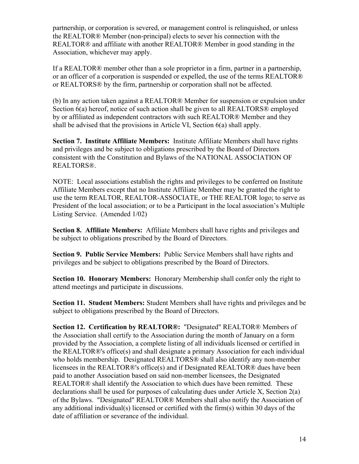partnership, or corporation is severed, or management control is relinquished, or unless the REALTOR® Member (non-principal) elects to sever his connection with the REALTOR® and affiliate with another REALTOR® Member in good standing in the Association, whichever may apply.

If a REALTOR® member other than a sole proprietor in a firm, partner in a partnership, or an officer of a corporation is suspended or expelled, the use of the terms REALTOR® or REALTORS® by the firm, partnership or corporation shall not be affected.

(b) In any action taken against a REALTOR® Member for suspension or expulsion under Section 6(a) hereof, notice of such action shall be given to all REALTORS® employed by or affiliated as independent contractors with such REALTOR® Member and they shall be advised that the provisions in Article VI, Section 6(a) shall apply.

**Section 7. Institute Affiliate Members:** Institute Affiliate Members shall have rights and privileges and be subject to obligations prescribed by the Board of Directors consistent with the Constitution and Bylaws of the NATIONAL ASSOCIATION OF REALTORS®.

NOTE: Local associations establish the rights and privileges to be conferred on Institute Affiliate Members except that no Institute Affiliate Member may be granted the right to use the term REALTOR, REALTOR-ASSOCIATE, or THE REALTOR logo; to serve as President of the local association; or to be a Participant in the local association's Multiple Listing Service. (Amended 1/02)

**Section 8. Affiliate Members:** Affiliate Members shall have rights and privileges and be subject to obligations prescribed by the Board of Directors.

**Section 9. Public Service Members:** Public Service Members shall have rights and privileges and be subject to obligations prescribed by the Board of Directors.

**Section 10. Honorary Members:** Honorary Membership shall confer only the right to attend meetings and participate in discussions.

**Section 11. Student Members:** Student Members shall have rights and privileges and be subject to obligations prescribed by the Board of Directors.

**Section 12. Certification by REALTOR®:** "Designated" REALTOR® Members of the Association shall certify to the Association during the month of January on a form provided by the Association, a complete listing of all individuals licensed or certified in the REALTOR®'s office(s) and shall designate a primary Association for each individual who holds membership. Designated REALTORS<sup>®</sup> shall also identify any non-member licensees in the REALTOR®'s office(s) and if Designated REALTOR® dues have been paid to another Association based on said non-member licensees, the Designated REALTOR® shall identify the Association to which dues have been remitted. These declarations shall be used for purposes of calculating dues under Article X, Section 2(a) of the Bylaws. "Designated" REALTOR® Members shall also notify the Association of any additional individual(s) licensed or certified with the firm(s) within 30 days of the date of affiliation or severance of the individual.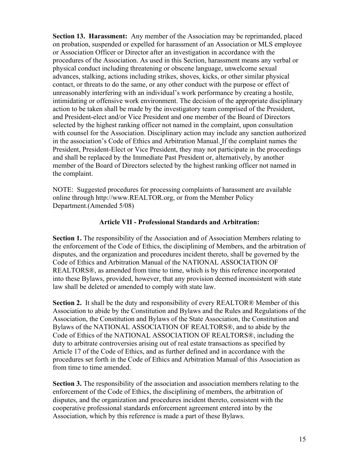**Section 13. Harassment:** Any member of the Association may be reprimanded, placed on probation, suspended or expelled for harassment of an Association or MLS employee or Association Officer or Director after an investigation in accordance with the procedures of the Association. As used in this Section, harassment means any verbal or physical conduct including threatening or obscene language, unwelcome sexual advances, stalking, actions including strikes, shoves, kicks, or other similar physical contact, or threats to do the same, or any other conduct with the purpose or effect of unreasonably interfering with an individual's work performance by creating a hostile, intimidating or offensive work environment. The decision of the appropriate disciplinary action to be taken shall be made by the investigatory team comprised of the President, and President-elect and/or Vice President and one member of the Board of Directors selected by the highest ranking officer not named in the complaint, upon consultation with counsel for the Association. Disciplinary action may include any sanction authorized in the association's Code of Ethics and Arbitration Manual. If the complaint names the President, President-Elect or Vice President, they may not participate in the proceedings and shall be replaced by the Immediate Past President or, alternatively, by another member of the Board of Directors selected by the highest ranking officer not named in the complaint.

NOTE: Suggested procedures for processing complaints of harassment are available online through<http://www.REALTOR.org>, or from the Member Policy Department.(Amended 5/08)

#### **Article VII - Professional Standards and Arbitration:**

**Section 1.** The responsibility of the Association and of Association Members relating to the enforcement of the Code of Ethics, the disciplining of Members, and the arbitration of disputes, and the organization and procedures incident thereto, shall be governed by the Code of Ethics and Arbitration Manual of the NATIONAL ASSOCIATION OF REALTORS®, as amended from time to time, which is by this reference incorporated into these Bylaws, provided, however, that any provision deemed inconsistent with state law shall be deleted or amended to comply with state law.

**Section 2.** It shall be the duty and responsibility of every REALTOR® Member of this Association to abide by the Constitution and Bylaws and the Rules and Regulations of the Association, the Constitution and Bylaws of the State Association, the Constitution and Bylaws of the NATIONAL ASSOCIATION OF REALTORS®, and to abide by the Code of Ethics of the NATIONAL ASSOCIATION OF REALTORS®, including the duty to arbitrate controversies arising out of real estate transactions as specified by Article 17 of the Code of Ethics, and as further defined and in accordance with the procedures set forth in the Code of Ethics and Arbitration Manual of this Association as from time to time amended.

**Section 3.** The responsibility of the association and association members relating to the enforcement of the Code of Ethics, the disciplining of members, the arbitration of disputes, and the organization and procedures incident thereto, consistent with the cooperative professional standards enforcement agreement entered into by the Association, which by this reference is made a part of these Bylaws.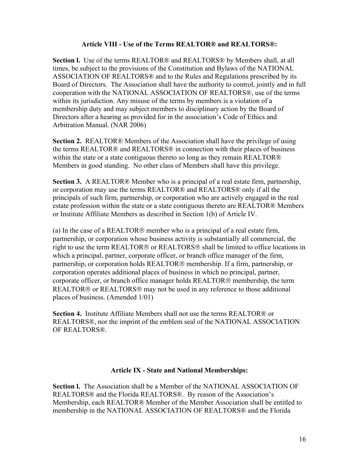## **Article VIII - Use of the Terms REALTOR® and REALTORS®:**

**Section l.** Use of the terms REALTOR® and REALTORS® by Members shall, at all times, be subject to the provisions of the Constitution and Bylaws of the NATIONAL ASSOCIATION OF REALTORS® and to the Rules and Regulations prescribed by its Board of Directors. The Association shall have the authority to control, jointly and in full cooperation with the NATIONAL ASSOCIATION OF REALTORS®, use of the terms within its jurisdiction. Any misuse of the terms by members is a violation of a membership duty and may subject members to disciplinary action by the Board of Directors after a hearing as provided for in the association's Code of Ethics and Arbitration Manual. (NAR 2006)

**Section 2.** REALTOR® Members of the Association shall have the privilege of using the terms REALTOR® and REALTORS® in connection with their places of business within the state or a state contiguous thereto so long as they remain REALTOR® Members in good standing. No other class of Members shall have this privilege.

**Section 3.** A REALTOR® Member who is a principal of a real estate firm, partnership, or corporation may use the terms REALTOR® and REALTORS® only if all the principals of such firm, partnership, or corporation who are actively engaged in the real estate profession within the state or a state contiguous thereto are REALTOR® Members or Institute Affiliate Members as described in Section 1(b) of Article IV.

 corporation operates additional places of business in which no principal, partner, (a) In the case of a REALTOR $\circledR$  member who is a principal of a real estate firm, partnership, or corporation whose business activity is substantially all commercial, the right to use the term REALTOR<sup>®</sup> or REALTORS<sup>®</sup> shall be limited to office locations in which a principal, partner, corporate officer, or branch office manager of the firm, partnership, or corporation holds REALTOR<sup>®</sup> membership. If a firm, partnership, or corporate officer, or branch office manager holds REALTOR® membership, the term  $REALTOR@$  or  $REALTORS@$  may not be used in any reference to those additional places of business. (Amended 1/01)

**Section 4.** Institute Affiliate Members shall not use the terms REALTOR® or REALTORS®, nor the imprint of the emblem seal of the NATIONAL ASSOCIATION OF REALTORS®.

#### **Article IX - State and National Memberships:**

**Section l.** The Association shall be a Member of the NATIONAL ASSOCIATION OF REALTORS® and the Florida REALTORS®. By reason of the Association's Membership, each REALTOR® Member of the Member Association shall be entitled to membership in the NATIONAL ASSOCIATION OF REALTORS® and the Florida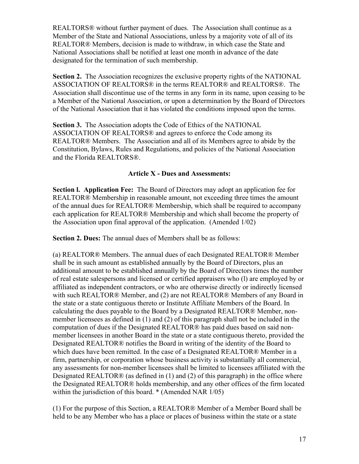REALTORS® without further payment of dues. The Association shall continue as a Member of the State and National Associations, unless by a majority vote of all of its REALTOR® Members, decision is made to withdraw, in which case the State and National Associations shall be notified at least one month in advance of the date designated for the termination of such membership.

**Section 2.** The Association recognizes the exclusive property rights of the NATIONAL ASSOCIATION OF REALTORS® in the terms REALTOR® and REALTORS®. The Association shall discontinue use of the terms in any form in its name, upon ceasing to be a Member of the National Association, or upon a determination by the Board of Directors of the National Association that it has violated the conditions imposed upon the terms.

**Section 3.** The Association adopts the Code of Ethics of the NATIONAL ASSOCIATION OF REALTORS® and agrees to enforce the Code among its REALTOR® Members. The Association and all of its Members agree to abide by the Constitution, Bylaws, Rules and Regulations, and policies of the National Association and the Florida REALTORS®.

#### **Article X - Dues and Assessments:**

**Section l. Application Fee:** The Board of Directors may adopt an application fee for REALTOR® Membership in reasonable amount, not exceeding three times the amount of the annual dues for REALTOR® Membership, which shall be required to accompany each application for REALTOR® Membership and which shall become the property of the Association upon final approval of the application. (Amended 1/02)

**Section 2. Dues:** The annual dues of Members shall be as follows:

(a) REALTOR® Members. The annual dues of each Designated REALTOR® Member shall be in such amount as established annually by the Board of Directors, plus an additional amount to be established annually by the Board of Directors times the number of real estate salespersons and licensed or certified appraisers who (l) are employed by or affiliated as independent contractors, or who are otherwise directly or indirectly licensed with such REALTOR® Member, and (2) are not REALTOR® Members of any Board in the state or a state contiguous thereto or Institute Affiliate Members of the Board. In calculating the dues payable to the Board by a Designated REALTOR® Member, nonmember licensees as defined in (1) and (2) of this paragraph shall not be included in the computation of dues if the Designated REALTOR® has paid dues based on said nonmember licensees in another Board in the state or a state contiguous thereto, provided the Designated REALTOR® notifies the Board in writing of the identity of the Board to which dues have been remitted. In the case of a Designated REALTOR® Member in a firm, partnership, or corporation whose business activity is substantially all commercial, any assessments for non-member licensees shall be limited to licensees affiliated with the Designated REALTOR® (as defined in  $(1)$  and  $(2)$  of this paragraph) in the office where the Designated REALTOR® holds membership, and any other offices of the firm located within the jurisdiction of this board. \* (Amended NAR 1/05)

(1) For the purpose of this Section, a REALTOR® Member of a Member Board shall be held to be any Member who has a place or places of business within the state or a state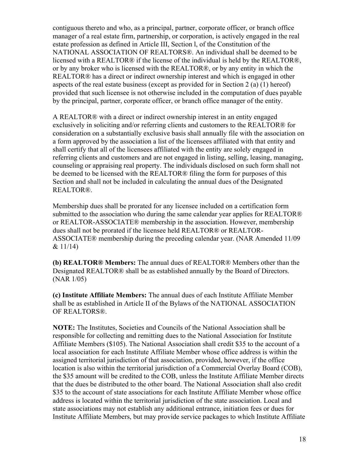contiguous thereto and who, as a principal, partner, corporate officer, or branch office manager of a real estate firm, partnership, or corporation, is actively engaged in the real estate profession as defined in Article III, Section l, of the Constitution of the NATIONAL ASSOCIATION OF REALTORS®. An individual shall be deemed to be licensed with a REALTOR® if the license of the individual is held by the REALTOR®, or by any broker who is licensed with the REALTOR®, or by any entity in which the REALTOR® has a direct or indirect ownership interest and which is engaged in other aspects of the real estate business (except as provided for in Section 2 (a) (1) hereof) provided that such licensee is not otherwise included in the computation of dues payable by the principal, partner, corporate officer, or branch office manager of the entity.

A REALTOR® with a direct or indirect ownership interest in an entity engaged exclusively in soliciting and/or referring clients and customers to the REALTOR® for consideration on a substantially exclusive basis shall annually file with the association on a form approved by the association a list of the licensees affiliated with that entity and shall certify that all of the licensees affiliated with the entity are solely engaged in referring clients and customers and are not engaged in listing, selling, leasing, managing, counseling or appraising real property. The individuals disclosed on such form shall not be deemed to be licensed with the REALTOR® filing the form for purposes of this Section and shall not be included in calculating the annual dues of the Designated REALTOR®.

Membership dues shall be prorated for any licensee included on a certification form submitted to the association who during the same calendar year applies for REALTOR® or REALTOR-ASSOCIATE® membership in the association. However, membership dues shall not be prorated if the licensee held REALTOR® or REALTOR-ASSOCIATE® membership during the preceding calendar year. (NAR Amended 11/09  $& 11/14$ 

**(b) REALTOR® Members:** The annual dues of REALTOR® Members other than the Designated REALTOR® shall be as established annually by the Board of Directors. (NAR 1/05)

**(c) Institute Affiliate Members:** The annual dues of each Institute Affiliate Member shall be as established in Article II of the Bylaws of the NATIONAL ASSOCIATION OF REALTORS®.

 local association for each Institute Affiliate Member whose office address is within the **NOTE:** The Institutes, Societies and Councils of the National Association shall be responsible for collecting and remitting dues to the National Association for Institute Affiliate Members (\$105). The National Association shall credit \$35 to the account of a assigned territorial jurisdiction of that association, provided, however, if the office location is also within the territorial jurisdiction of a Commercial Overlay Board (COB), the \$35 amount will be credited to the COB, unless the Institute Affiliate Member directs that the dues be distributed to the other board. The National Association shall also credit \$35 to the account of state associations for each Institute Affiliate Member whose office address is located within the territorial jurisdiction of the state association. Local and state associations may not establish any additional entrance, initiation fees or dues for Institute Affiliate Members, but may provide service packages to which Institute Affiliate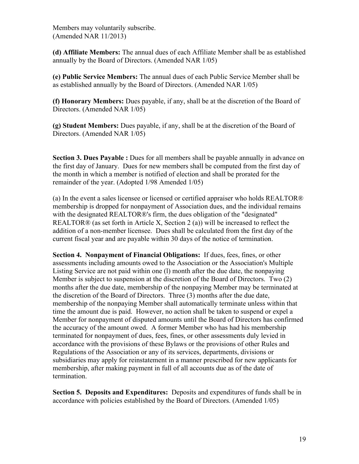Members may voluntarily subscribe. (Amended NAR 11/2013)

**(d) Affiliate Members:** The annual dues of each Affiliate Member shall be as established annually by the Board of Directors. (Amended NAR 1/05)

**(e) Public Service Members:** The annual dues of each Public Service Member shall be as established annually by the Board of Directors. (Amended NAR 1/05)

**(f) Honorary Members:** Dues payable, if any, shall be at the discretion of the Board of Directors. (Amended NAR 1/05)

**(g) Student Members:** Dues payable, if any, shall be at the discretion of the Board of Directors. (Amended NAR 1/05)

**Section 3. Dues Payable :** Dues for all members shall be payable annually in advance on the first day of January. Dues for new members shall be computed from the first day of the month in which a member is notified of election and shall be prorated for the remainder of the year. (Adopted 1/98 Amended 1/05)

(a) In the event a sales licensee or licensed or certified appraiser who holds REALTOR® membership is dropped for nonpayment of Association dues, and the individual remains with the designated REALTOR®'s firm, the dues obligation of the "designated" REALTOR® (as set forth in Article X, Section 2 (a)) will be increased to reflect the addition of a non-member licensee. Dues shall be calculated from the first day of the current fiscal year and are payable within 30 days of the notice of termination.

**Section 4. Nonpayment of Financial Obligations:** If dues, fees, fines, or other assessments including amounts owed to the Association or the Association's Multiple Listing Service are not paid within one (l) month after the due date, the nonpaying Member is subject to suspension at the discretion of the Board of Directors. Two (2) months after the due date, membership of the nonpaying Member may be terminated at the discretion of the Board of Directors. Three (3) months after the due date, membership of the nonpaying Member shall automatically terminate unless within that time the amount due is paid. However, no action shall be taken to suspend or expel a Member for nonpayment of disputed amounts until the Board of Directors has confirmed the accuracy of the amount owed. A former Member who has had his membership terminated for nonpayment of dues, fees, fines, or other assessments duly levied in accordance with the provisions of these Bylaws or the provisions of other Rules and Regulations of the Association or any of its services, departments, divisions or subsidiaries may apply for reinstatement in a manner prescribed for new applicants for membership, after making payment in full of all accounts due as of the date of termination.

**Section 5. Deposits and Expenditures:** Deposits and expenditures of funds shall be in accordance with policies established by the Board of Directors. (Amended 1/05)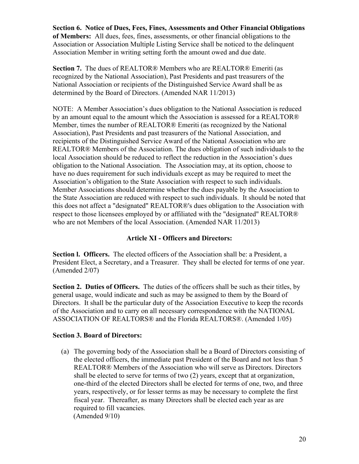**Section 6. Notice of Dues, Fees, Fines, Assessments and Other Financial Obligations of Members:** All dues, fees, fines, assessments, or other financial obligations to the Association or Association Multiple Listing Service shall be noticed to the delinquent Association Member in writing setting forth the amount owed and due date.

 **Section 7.** The dues of REALTOR® Members who are REALTOR® Emeriti (as recognized by the National Association), Past Presidents and past treasurers of the National Association or recipients of the Distinguished Service Award shall be as determined by the Board of Directors. (Amended NAR 11/2013)

NOTE: A Member Association's dues obligation to the National Association is reduced by an amount equal to the amount which the Association is assessed for a REALTOR® Member, times the number of REALTOR® Emeriti (as recognized by the National Association), Past Presidents and past treasurers of the National Association, and recipients of the Distinguished Service Award of the National Association who are REALTOR® Members of the Association. The dues obligation of such individuals to the local Association should be reduced to reflect the reduction in the Association's dues obligation to the National Association. The Association may, at its option, choose to have no dues requirement for such individuals except as may be required to meet the Association's obligation to the State Association with respect to such individuals. Member Associations should determine whether the dues payable by the Association to the State Association are reduced with respect to such individuals. It should be noted that this does not affect a "designated" REALTOR®'s dues obligation to the Association with respect to those licensees employed by or affiliated with the "designated" REALTOR® who are not Members of the local Association. (Amended NAR 11/2013)

## **Article XI - Officers and Directors:**

**Section l. Officers.** The elected officers of the Association shall be: a President, a President Elect, a Secretary, and a Treasurer. They shall be elected for terms of one year. (Amended 2/07)

**Section 2. Duties of Officers.** The duties of the officers shall be such as their titles, by general usage, would indicate and such as may be assigned to them by the Board of Directors. It shall be the particular duty of the Association Executive to keep the records of the Association and to carry on all necessary correspondence with the NATIONAL ASSOCIATION OF REALTORS® and the Florida REALTORS®. (Amended 1/05)

## **Section 3. Board of Directors:**

(a) The governing body of the Association shall be a Board of Directors consisting of the elected officers, the immediate past President of the Board and not less than 5 REALTOR® Members of the Association who will serve as Directors. Directors shall be elected to serve for terms of two (2) years, except that at organization, one-third of the elected Directors shall be elected for terms of one, two, and three years, respectively, or for lesser terms as may be necessary to complete the first fiscal year. Thereafter, as many Directors shall be elected each year as are required to fill vacancies. (Amended 9/10)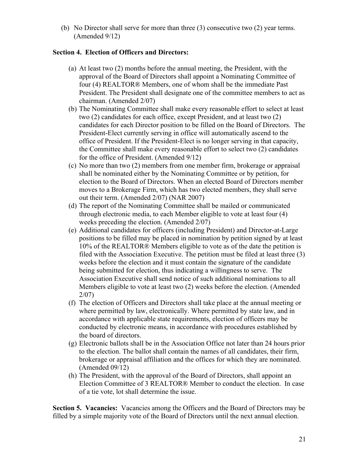(b) No Director shall serve for more than three (3) consecutive two (2) year terms. (Amended 9/12)

## **Section 4. Election of Officers and Directors:**

- (a) At least two (2) months before the annual meeting, the President, with the approval of the Board of Directors shall appoint a Nominating Committee of four (4) REALTOR® Members, one of whom shall be the immediate Past President. The President shall designate one of the committee members to act as chairman. (Amended 2/07)
- (b) The Nominating Committee shall make every reasonable effort to select at least two (2) candidates for each office, except President, and at least two (2) candidates for each Director position to be filled on the Board of Directors. The President-Elect currently serving in office will automatically ascend to the office of President. If the President-Elect is no longer serving in that capacity, the Committee shall make every reasonable effort to select two (2) candidates for the office of President. (Amended 9/12)
- (c) No more than two (2) members from one member firm, brokerage or appraisal shall be nominated either by the Nominating Committee or by petition, for election to the Board of Directors. When an elected Board of Directors member moves to a Brokerage Firm, which has two elected members, they shall serve out their term. (Amended 2/07) (NAR 2007)
- (d) The report of the Nominating Committee shall be mailed or communicated through electronic media, to each Member eligible to vote at least four (4) weeks preceding the election. (Amended 2/07)
- (e) Additional candidates for officers (including President) and Director-at-Large positions to be filled may be placed in nomination by petition signed by at least 10% of the REALTOR® Members eligible to vote as of the date the petition is filed with the Association Executive. The petition must be filed at least three (3) weeks before the election and it must contain the signature of the candidate being submitted for election, thus indicating a willingness to serve. The Association Executive shall send notice of such additional nominations to all Members eligible to vote at least two (2) weeks before the election. (Amended 2/07)
- (f) The election of Officers and Directors shall take place at the annual meeting or where permitted by law, electronically. Where permitted by state law, and in accordance with applicable state requirements, election of officers may be conducted by electronic means, in accordance with procedures established by the board of directors.
- (g) Electronic ballots shall be in the Association Office not later than 24 hours prior to the election. The ballot shall contain the names of all candidates, their firm, brokerage or appraisal affiliation and the offices for which they are nominated. (Amended 09/12)
- (h) The President, with the approval of the Board of Directors, shall appoint an Election Committee of 3 REALTOR® Member to conduct the election. In case of a tie vote, lot shall determine the issue.

 **Section 5. Vacancies:** Vacancies among the Officers and the Board of Directors may be filled by a simple majority vote of the Board of Directors until the next annual election.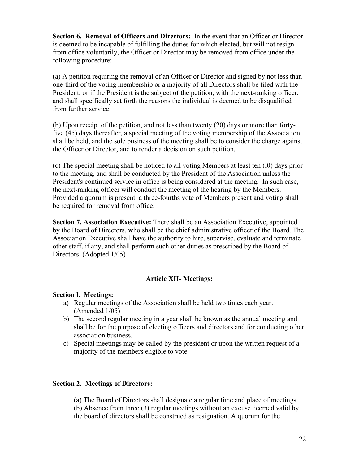**Section 6. Removal of Officers and Directors:** In the event that an Officer or Director is deemed to be incapable of fulfilling the duties for which elected, but will not resign from office voluntarily, the Officer or Director may be removed from office under the following procedure:

(a) A petition requiring the removal of an Officer or Director and signed by not less than one-third of the voting membership or a majority of all Directors shall be filed with the President, or if the President is the subject of the petition, with the next-ranking officer, and shall specifically set forth the reasons the individual is deemed to be disqualified from further service.

 shall be held, and the sole business of the meeting shall be to consider the charge against (b) Upon receipt of the petition, and not less than twenty (20) days or more than fortyfive (45) days thereafter, a special meeting of the voting membership of the Association the Officer or Director, and to render a decision on such petition.

(c) The special meeting shall be noticed to all voting Members at least ten (l0) days prior to the meeting, and shall be conducted by the President of the Association unless the President's continued service in office is being considered at the meeting. In such case, the next-ranking officer will conduct the meeting of the hearing by the Members. Provided a quorum is present, a three-fourths vote of Members present and voting shall be required for removal from office.

**Section 7. Association Executive:** There shall be an Association Executive, appointed by the Board of Directors, who shall be the chief administrative officer of the Board. The Association Executive shall have the authority to hire, supervise, evaluate and terminate other staff, if any, and shall perform such other duties as prescribed by the Board of Directors. (Adopted 1/05)

#### **Article XII- Meetings:**

#### **Section l. Meetings:**

- a) Regular meetings of the Association shall be held two times each year. (Amended 1/05)
- b) The second regular meeting in a year shall be known as the annual meeting and shall be for the purpose of electing officers and directors and for conducting other association business.
- c) Special meetings may be called by the president or upon the written request of a majority of the members eligible to vote.

#### **Section 2. Meetings of Directors:**

(a) The Board of Directors shall designate a regular time and place of meetings.

(b) Absence from three (3) regular meetings without an excuse deemed valid by the board of directors shall be construed as resignation. A quorum for the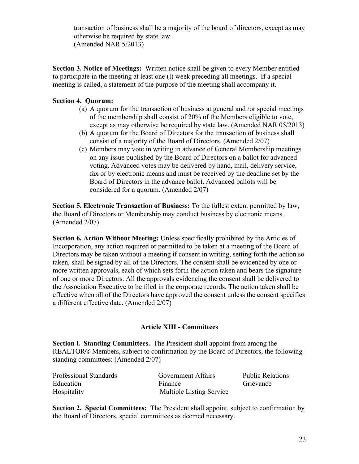transaction of business shall be a majority of the board of directors, except as may otherwise be required by state law. (Amended NAR 5/2013)

**Section 3. Notice of Meetings:** Written notice shall be given to every Member entitled to participate in the meeting at least one (l) week preceding all meetings. If a special meeting is called, a statement of the purpose of the meeting shall accompany it.

## **Section 4. Quorum:**

- (a) A quorum for the transaction of business at general and /or special meetings of the membership shall consist of 20% of the Members eligible to vote, except as may otherwise be required by state law. (Amended NAR 05/2013)
- (b) A quorum for the Board of Directors for the transaction of business shall consist of a majority of the Board of Directors. (Amended 2/07)
- (c) Members may vote in writing in advance of General Membership meetings on any issue published by the Board of Directors on a ballot for advanced voting. Advanced votes may be delivered by hand, mail, delivery service, fax or by electronic means and must be received by the deadline set by the Board of Directors in the advance ballot. Advanced ballots will be considered for a quorum. (Amended 2/07)

**Section 5. Electronic Transaction of Business:** To the fullest extent permitted by law, the Board of Directors or Membership may conduct business by electronic means. (Amended 2/07)

**Section 6. Action Without Meeting:** Unless specifically prohibited by the Articles of Incorporation, any action required or permitted to be taken at a meeting of the Board of Directors may be taken without a meeting if consent in writing, setting forth the action so taken, shall be signed by all of the Directors. The consent shall be evidenced by one or more written approvals, each of which sets forth the action taken and bears the signature of one or more Directors. All the approvals evidencing the consent shall be delivered to the Association Executive to be filed in the corporate records. The action taken shall be effective when all of the Directors have approved the consent unless the consent specifies a different effective date. (Amended 2/07)

## **Article XIII - Committees**

**Section l. Standing Committees.** The President shall appoint from among the REALTOR® Members, subject to confirmation by the Board of Directors, the following standing committees: (Amended 2/07)

| Professional Standards | Government Affairs              | Public Relations |
|------------------------|---------------------------------|------------------|
| Education              | Finance                         | Grievance        |
| Hospitality            | <b>Multiple Listing Service</b> |                  |

**Section 2. Special Committees:** The President shall appoint, subject to confirmation by the Board of Directors, special committees as deemed necessary.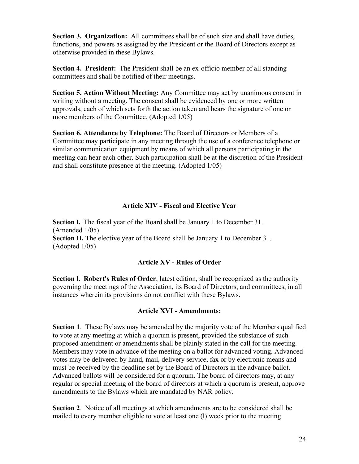**Section 3. Organization:** All committees shall be of such size and shall have duties, functions, and powers as assigned by the President or the Board of Directors except as otherwise provided in these Bylaws.

**Section 4. President:** The President shall be an ex-officio member of all standing committees and shall be notified of their meetings.

**Section 5. Action Without Meeting:** Any Committee may act by unanimous consent in writing without a meeting. The consent shall be evidenced by one or more written approvals, each of which sets forth the action taken and bears the signature of one or more members of the Committee. (Adopted 1/05)

**Section 6. Attendance by Telephone:** The Board of Directors or Members of a Committee may participate in any meeting through the use of a conference telephone or similar communication equipment by means of which all persons participating in the meeting can hear each other. Such participation shall be at the discretion of the President and shall constitute presence at the meeting. (Adopted 1/05)

## **Article XIV - Fiscal and Elective Year**

**Section l.** The fiscal year of the Board shall be January 1 to December 31. (Amended 1/05) **Section II.** The elective year of the Board shall be January 1 to December 31. (Adopted 1/05)

#### **Article XV - Rules of Order**

 **Section l. Robert's Rules of Order**, latest edition, shall be recognized as the authority governing the meetings of the Association, its Board of Directors, and committees, in all instances wherein its provisions do not conflict with these Bylaws.

#### **Article XVI - Amendments:**

 proposed amendment or amendments shall be plainly stated in the call for the meeting. **Section 1**. These Bylaws may be amended by the majority vote of the Members qualified to vote at any meeting at which a quorum is present, provided the substance of such Members may vote in advance of the meeting on a ballot for advanced voting. Advanced votes may be delivered by hand, mail, delivery service, fax or by electronic means and must be received by the deadline set by the Board of Directors in the advance ballot. Advanced ballots will be considered for a quorum. The board of directors may, at any regular or special meeting of the board of directors at which a quorum is present, approve amendments to the Bylaws which are mandated by NAR policy.

**Section 2**. Notice of all meetings at which amendments are to be considered shall be mailed to every member eligible to vote at least one (l) week prior to the meeting.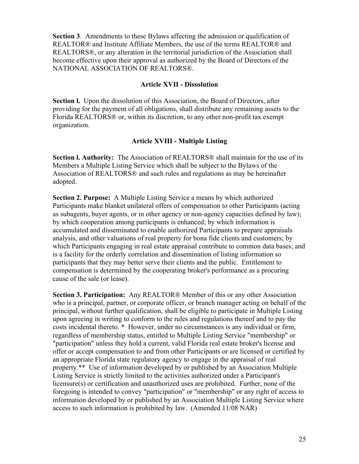**Section 3**. Amendments to these Bylaws affecting the admission or qualification of REALTOR® and Institute Affiliate Members, the use of the terms REALTOR® and REALTORS®, or any alteration in the territorial jurisdiction of the Association shall become effective upon their approval as authorized by the Board of Directors of the NATIONAL ASSOCIATION OF REALTORS®.

#### **Article XVII - Dissolution**

**Section I.** Upon the dissolution of this Association, the Board of Directors, after providing for the payment of all obligations, shall distribute any remaining assets to the Florida REALTORS® or, within its discretion, to any other non-profit tax exempt organization.

#### **Article XVIII - Multiple Listing**

**Section l. Authority:** The Association of REALTORS® shall maintain for the use of its Members a Multiple Listing Service which shall be subject to the Bylaws of the Association of REALTORS® and such rules and regulations as may be hereinafter adopted.

**Section 2. Purpose:** A Multiple Listing Service a means by which authorized Participants make blanket unilateral offers of compensation to other Participants (acting as subagents, buyer agents, or in other agency or non-agency capacities defined by law); by which cooperation among participants is enhanced; by which information is accumulated and disseminated to enable authorized Participants to prepare appraisals analysis, and other valuations of real property for bona fide clients and customers; by which Participants engaging in real estate appraisal contribute to common data bases; and is a facility for the orderly correlation and dissemination of listing information so participants that they may better serve their clients and the public. Entitlement to compensation is determined by the cooperating broker's performance as a procuring cause of the sale (or lease).

**Section 3. Participation:** Any REALTOR® Member of this or any other Association who is a principal, partner, or corporate officer, or branch manager acting on behalf of the principal, without further qualification, shall be eligible to participate in Multiple Listing upon agreeing in writing to conform to the rules and regulations thereof and to pay the costs incidental thereto. \* However, under no circumstances is any individual or firm, regardless of membership status, entitled to Multiple Listing Service "membership" or "participation" unless they hold a current, valid Florida real estate broker's license and offer or accept compensation to and from other Participants or are licensed or certified by an appropriate Florida state regulatory agency to engage in the appraisal of real property.\*\* Use of information developed by or published by an Association Multiple Listing Service is strictly limited to the activities authorized under a Participant's licensure(s) or certification and unauthorized uses are prohibited. Further, none of the foregoing is intended to convey "participation" or "membership" or any right of access to information developed by or published by an Association Multiple Listing Service where access to such information is prohibited by law. (Amended 11/08 NAR)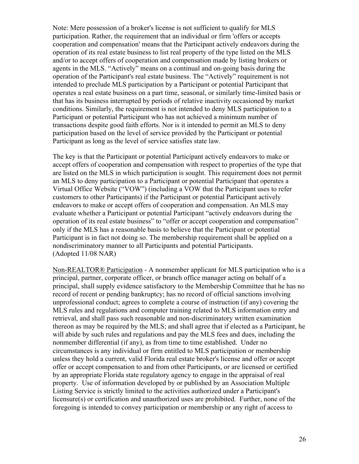Note: Mere possession of a broker's license is not sufficient to qualify for MLS participation. Rather, the requirement that an individual or firm 'offers or accepts cooperation and compensation' means that the Participant actively endeavors during the operation of its real estate business to list real property of the type listed on the MLS and/or to accept offers of cooperation and compensation made by listing brokers or agents in the MLS. "Actively" means on a continual and on-going basis during the operation of the Participant's real estate business. The "Actively" requirement is not intended to preclude MLS participation by a Participant or potential Participant that operates a real estate business on a part time, seasonal, or similarly time-limited basis or that has its business interrupted by periods of relative inactivity occasioned by market conditions. Similarly, the requirement is not intended to deny MLS participation to a Participant or potential Participant who has not achieved a minimum number of transactions despite good faith efforts. Nor is it intended to permit an MLS to deny participation based on the level of service provided by the Participant or potential Participant as long as the level of service satisfies state law.

The key is that the Participant or potential Participant actively endeavors to make or accept offers of cooperation and compensation with respect to properties of the type that are listed on the MLS in which participation is sought. This requirement does not permit an MLS to deny participation to a Participant or potential Participant that operates a Virtual Office Website ("VOW") (including a VOW that the Participant uses to refer customers to other Participants) if the Participant or potential Participant actively endeavors to make or accept offers of cooperation and compensation. An MLS may evaluate whether a Participant or potential Participant "actively endeavors during the operation of its real estate business" to "offer or accept cooperation and compensation" only if the MLS has a reasonable basis to believe that the Participant or potential Participant is in fact not doing so. The membership requirement shall be applied on a nondiscriminatory manner to all Participants and potential Participants. (Adopted 11/08 NAR)

Non-REALTOR® Participation - A nonmember applicant for MLS participation who is a principal, partner, corporate officer, or branch office manager acting on behalf of a principal, shall supply evidence satisfactory to the Membership Committee that he has no record of recent or pending bankruptcy; has no record of official sanctions involving unprofessional conduct; agrees to complete a course of instruction (if any) covering the MLS rules and regulations and computer training related to MLS information entry and retrieval, and shall pass such reasonable and non-discriminatory written examination thereon as may be required by the MLS; and shall agree that if elected as a Participant, he will abide by such rules and regulations and pay the MLS fees and dues, including the nonmember differential (if any), as from time to time established. Under no circumstances is any individual or firm entitled to MLS participation or membership unless they hold a current, valid Florida real estate broker's license and offer or accept offer or accept compensation to and from other Participants, or are licensed or certified by an appropriate Florida state regulatory agency to engage in the appraisal of real property. Use of information developed by or published by an Association Multiple Listing Service is strictly limited to the activities authorized under a Participant's licensure(s) or certification and unauthorized uses are prohibited. Further, none of the foregoing is intended to convey participation or membership or any right of access to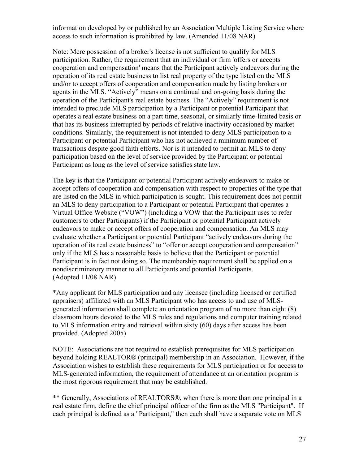information developed by or published by an Association Multiple Listing Service where access to such information is prohibited by law. (Amended 11/08 NAR)

Note: Mere possession of a broker's license is not sufficient to qualify for MLS participation. Rather, the requirement that an individual or firm 'offers or accepts cooperation and compensation' means that the Participant actively endeavors during the operation of its real estate business to list real property of the type listed on the MLS and/or to accept offers of cooperation and compensation made by listing brokers or agents in the MLS. "Actively" means on a continual and on-going basis during the operation of the Participant's real estate business. The "Actively" requirement is not intended to preclude MLS participation by a Participant or potential Participant that operates a real estate business on a part time, seasonal, or similarly time-limited basis or that has its business interrupted by periods of relative inactivity occasioned by market conditions. Similarly, the requirement is not intended to deny MLS participation to a Participant or potential Participant who has not achieved a minimum number of transactions despite good faith efforts. Nor is it intended to permit an MLS to deny participation based on the level of service provided by the Participant or potential Participant as long as the level of service satisfies state law.

The key is that the Participant or potential Participant actively endeavors to make or accept offers of cooperation and compensation with respect to properties of the type that are listed on the MLS in which participation is sought. This requirement does not permit an MLS to deny participation to a Participant or potential Participant that operates a Virtual Office Website ("VOW") (including a VOW that the Participant uses to refer customers to other Participants) if the Participant or potential Participant actively endeavors to make or accept offers of cooperation and compensation. An MLS may evaluate whether a Participant or potential Participant "actively endeavors during the operation of its real estate business" to "offer or accept cooperation and compensation" only if the MLS has a reasonable basis to believe that the Participant or potential Participant is in fact not doing so. The membership requirement shall be applied on a nondiscriminatory manner to all Participants and potential Participants. (Adopted 11/08 NAR)

\*Any applicant for MLS participation and any licensee (including licensed or certified appraisers) affiliated with an MLS Participant who has access to and use of MLSgenerated information shall complete an orientation program of no more than eight (8) classroom hours devoted to the MLS rules and regulations and computer training related to MLS information entry and retrieval within sixty (60) days after access has been provided. (Adopted 2005)

NOTE: Associations are not required to establish prerequisites for MLS participation beyond holding REALTOR® (principal) membership in an Association. However, if the Association wishes to establish these requirements for MLS participation or for access to MLS-generated information, the requirement of attendance at an orientation program is the most rigorous requirement that may be established.

\*\* Generally, Associations of REALTORS®, when there is more than one principal in a real estate firm, define the chief principal officer of the firm as the MLS "Participant". If each principal is defined as a "Participant," then each shall have a separate vote on MLS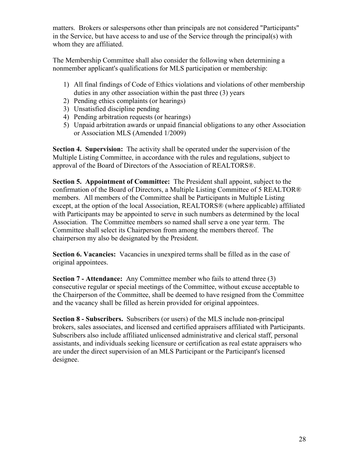matters. Brokers or salespersons other than principals are not considered "Participants" in the Service, but have access to and use of the Service through the principal(s) with whom they are affiliated.

The Membership Committee shall also consider the following when determining a nonmember applicant's qualifications for MLS participation or membership:

- 1) All final findings of Code of Ethics violations and violations of other membership duties in any other association within the past three (3) years
- 2) Pending ethics complaints (or hearings)
- 3) Unsatisfied discipline pending
- 4) Pending arbitration requests (or hearings)
- 5) Unpaid arbitration awards or unpaid financial obligations to any other Association or Association MLS (Amended 1/2009)

**Section 4. Supervision:** The activity shall be operated under the supervision of the Multiple Listing Committee, in accordance with the rules and regulations, subject to approval of the Board of Directors of the Association of REALTORS®.

**Section 5. Appointment of Committee:** The President shall appoint, subject to the confirmation of the Board of Directors, a Multiple Listing Committee of 5 REALTOR® members. All members of the Committee shall be Participants in Multiple Listing except, at the option of the local Association, REALTORS® (where applicable) affiliated with Participants may be appointed to serve in such numbers as determined by the local Association. The Committee members so named shall serve a one year term. The Committee shall select its Chairperson from among the members thereof. The chairperson my also be designated by the President.

**Section 6. Vacancies:** Vacancies in unexpired terms shall be filled as in the case of original appointees.

**Section 7 - Attendance:** Any Committee member who fails to attend three (3) consecutive regular or special meetings of the Committee, without excuse acceptable to the Chairperson of the Committee, shall be deemed to have resigned from the Committee and the vacancy shall be filled as herein provided for original appointees.

**Section 8 - Subscribers.** Subscribers (or users) of the MLS include non-principal brokers, sales associates, and licensed and certified appraisers affiliated with Participants. Subscribers also include affiliated unlicensed administrative and clerical staff, personal assistants, and individuals seeking licensure or certification as real estate appraisers who are under the direct supervision of an MLS Participant or the Participant's licensed designee.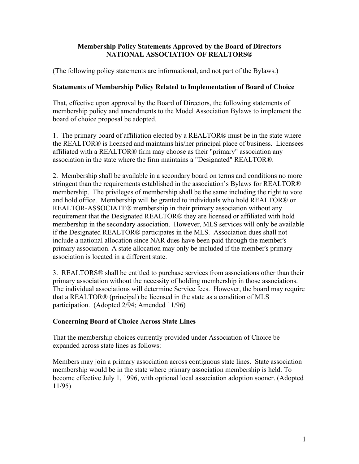## **Membership Policy Statements Approved by the Board of Directors NATIONAL ASSOCIATION OF REALTORS®**

(The following policy statements are informational, and not part of the Bylaws.)

## **Statements of Membership Policy Related to Implementation of Board of Choice**

That, effective upon approval by the Board of Directors, the following statements of membership policy and amendments to the Model Association Bylaws to implement the board of choice proposal be adopted.

1. The primary board of affiliation elected by a REALTOR® must be in the state where the REALTOR® is licensed and maintains his/her principal place of business. Licensees affiliated with a REALTOR® firm may choose as their "primary" association any association in the state where the firm maintains a "Designated" REALTOR®.

2. Membership shall be available in a secondary board on terms and conditions no more stringent than the requirements established in the association's Bylaws for REALTOR® membership. The privileges of membership shall be the same including the right to vote and hold office. Membership will be granted to individuals who hold REALTOR® or REALTOR-ASSOCIATE® membership in their primary association without any requirement that the Designated REALTOR® they are licensed or affiliated with hold membership in the secondary association. However, MLS services will only be available if the Designated REALTOR® participates in the MLS. Association dues shall not include a national allocation since NAR dues have been paid through the member's primary association. A state allocation may only be included if the member's primary association is located in a different state.

3. REALTORS® shall be entitled to purchase services from associations other than their primary association without the necessity of holding membership in those associations. The individual associations will determine Service fees. However, the board may require that a REALTOR® (principal) be licensed in the state as a condition of MLS participation. (Adopted 2/94; Amended 11/96)

## **Concerning Board of Choice Across State Lines**

That the membership choices currently provided under Association of Choice be expanded across state lines as follows:

Members may join a primary association across contiguous state lines. State association membership would be in the state where primary association membership is held. To become effective July 1, 1996, with optional local association adoption sooner. (Adopted 11/95)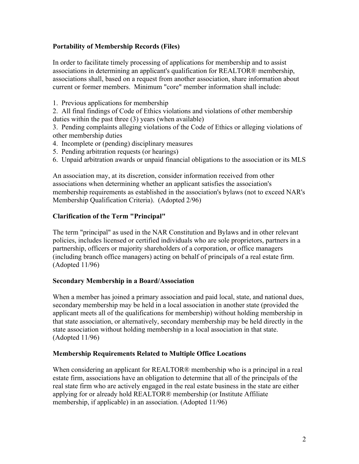## **Portability of Membership Records (Files)**

In order to facilitate timely processing of applications for membership and to assist associations in determining an applicant's qualification for REALTOR® membership, associations shall, based on a request from another association, share information about current or former members. Minimum "core" member information shall include:

1. Previous applications for membership

2. All final findings of Code of Ethics violations and violations of other membership duties within the past three (3) years (when available)

3. Pending complaints alleging violations of the Code of Ethics or alleging violations of other membership duties

- 4. Incomplete or (pending) disciplinary measures
- 5. Pending arbitration requests (or hearings)
- 6. Unpaid arbitration awards or unpaid financial obligations to the association or its MLS

An association may, at its discretion, consider information received from other associations when determining whether an applicant satisfies the association's membership requirements as established in the association's bylaws (not to exceed NAR's Membership Qualification Criteria). (Adopted 2/96)

## **Clarification of the Term "Principal"**

The term "principal" as used in the NAR Constitution and Bylaws and in other relevant policies, includes licensed or certified individuals who are sole proprietors, partners in a partnership, officers or majority shareholders of a corporation, or office managers (including branch office managers) acting on behalf of principals of a real estate firm. (Adopted 11/96)

#### **Secondary Membership in a Board/Association**

When a member has joined a primary association and paid local, state, and national dues, secondary membership may be held in a local association in another state (provided the applicant meets all of the qualifications for membership) without holding membership in that state association, or alternatively, secondary membership may be held directly in the state association without holding membership in a local association in that state. (Adopted 11/96)

## **Membership Requirements Related to Multiple Office Locations**

When considering an applicant for REALTOR<sup>®</sup> membership who is a principal in a real estate firm, associations have an obligation to determine that all of the principals of the real state firm who are actively engaged in the real estate business in the state are either applying for or already hold REALTOR® membership (or Institute Affiliate membership, if applicable) in an association. (Adopted 11/96)